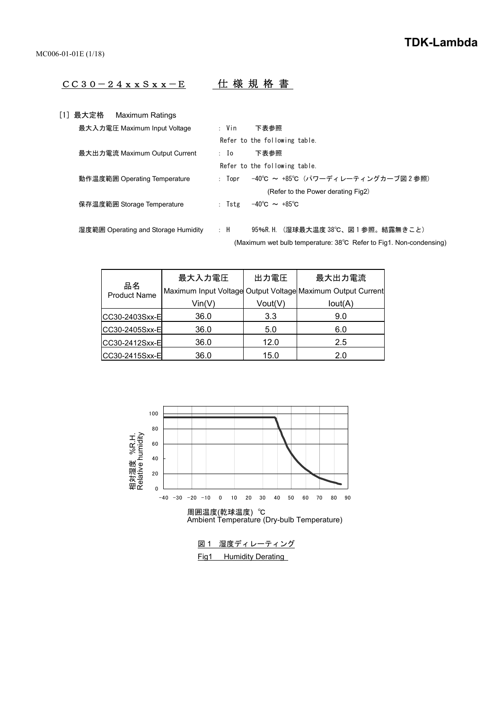# CC30-24xxSxx-E 仕 様 規 格 書

| 「1]最大定格 | Maximum Ratings                     |              |                                                                    |
|---------|-------------------------------------|--------------|--------------------------------------------------------------------|
|         | 最大入力電圧 Maximum Input Voltage        | : Vin        | 下表参照                                                               |
|         |                                     |              | Refer to the following table.                                      |
|         | 最大出力電流 Maximum Output Current       | $\mathbf{I}$ | 下表参照                                                               |
|         |                                     |              | Refer to the following table.                                      |
|         | 動作温度範囲 Operating Temperature        | : Topr       | -40℃ ~ +85℃ (パワーディレーティングカーブ図2参照)                                   |
|         |                                     |              | (Refer to the Power derating Fig2)                                 |
|         | 保存温度範囲 Storage Temperature          | : Tste       | $-40^{\circ}$ C $\sim +85^{\circ}$ C                               |
|         |                                     |              |                                                                    |
|         | 湿度範囲 Operating and Storage Humidity | : H          | 95%R.H. (湿球最大温度 38℃、図1参照。結露無きこと)                                   |
|         |                                     |              | (Maximum wet bulb temperature: 38°C Refer to Fig1. Non-condensing) |

|                           | 最大入力電圧                     | 出力電圧    | 最大出力電流                                                      |
|---------------------------|----------------------------|---------|-------------------------------------------------------------|
| 品名<br><b>Product Name</b> |                            |         | Maximum Input Voltage Output Voltage Maximum Output Current |
|                           | $\mathsf{Vin}(\mathsf{V})$ | Vout(V) | Iout(A)                                                     |
| CC30-2403Sxx-E            | 36.0                       | 3.3     | 9.0                                                         |
| CC30-2405Sxx-E            | 36.0                       | 5.0     | 6.0                                                         |
| CC30-2412Sxx-E            | 36.0                       | 12.0    | 2.5                                                         |
| CC30-2415Sxx-E            | 36.0                       | 15.0    | 2.0                                                         |



図1 湿度ディレーティング Fig1 Humidity Derating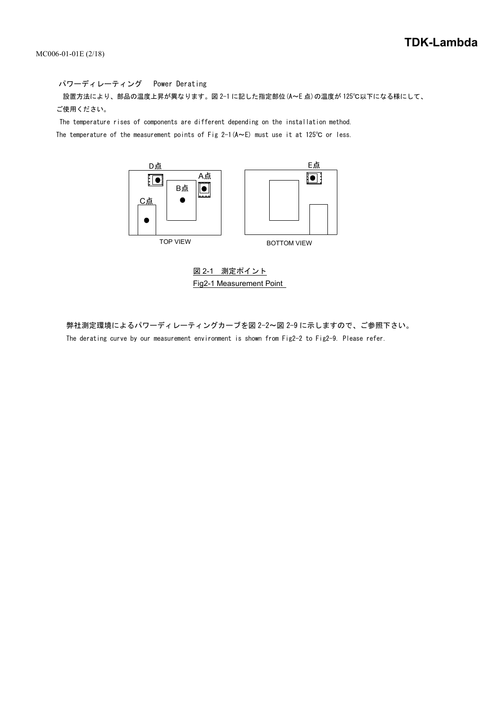パワーディレーティング Power Derating 設置方法により、部品の温度上昇が異なります。図 2-1 に記した指定部位(A~E 点)の温度が 125℃以下になる様にして、 ご使用ください。

 The temperature rises of components are different depending on the installation method. The temperature of the measurement points of Fig 2-1( $A \sim E$ ) must use it at 125°C or less.



図 2-1 測定ポイント Fig2-1 Measurement Point

 弊社測定環境によるパワーディレーティングカーブを図 2-2~図 2-9 に示しますので、ご参照下さい。 The derating curve by our measurement environment is shown from Fig2-2 to Fig2-9. Please refer.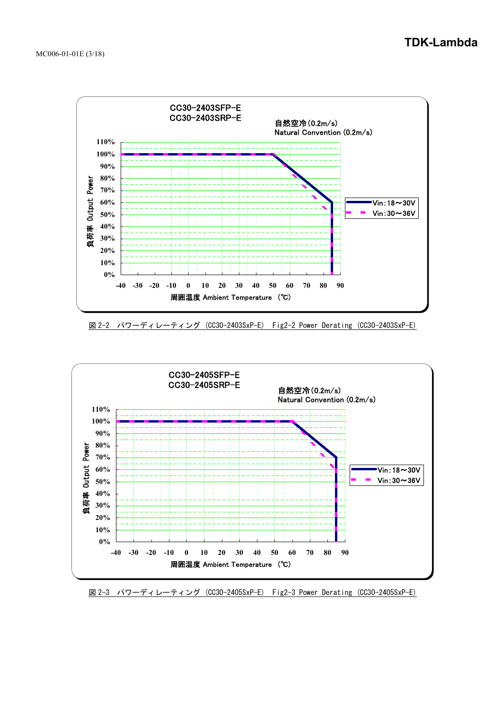

図 2-2 パワーディレーティング (CC30-2403SxP-E) Fig2-2 Power Derating (CC30-2403SxP-E)



図 2-3 パワーディレーティング (CC30-2405SxP-E) Fig2-3 Power Derating (CC30-2405SxP-E)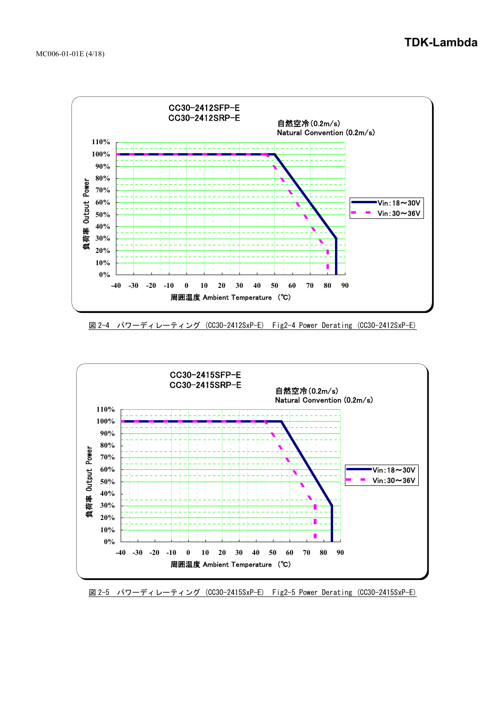

図 2-4 パワーディレーティング (CC30-2412SxP-E) Fig2-4 Power Derating (CC30-2412SxP-E)



図 2-5 パワーディレーティング (CC30-2415SxP-E) Fig2-5 Power Derating (CC30-2415SxP-E)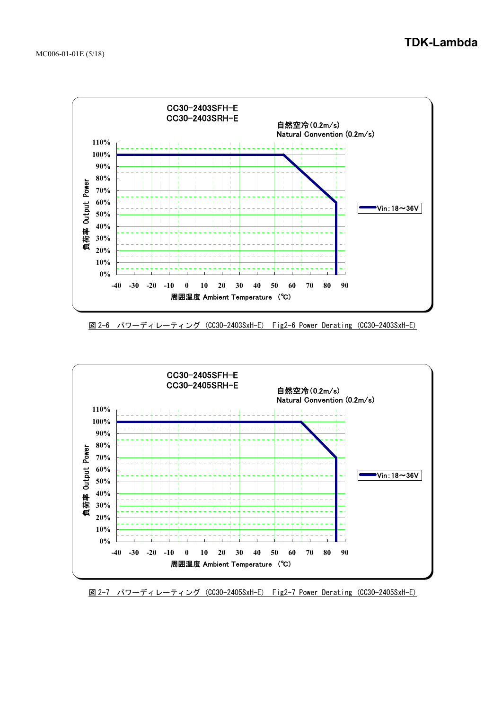

図 2-6 パワーディレーティング (CC30-2403SxH-E) Fig2-6 Power Derating (CC30-2403SxH-E)



図 2-7 パワーディレーティング (CC30-2405SxH-E) Fig2-7 Power Derating (CC30-2405SxH-E)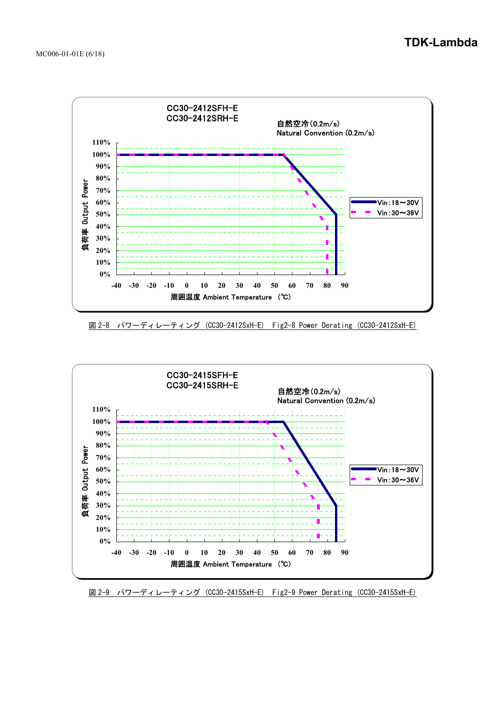

図 2-8 パワーディレーティング (CC30-2412SxH-E) Fig2-8 Power Derating (CC30-2412SxH-E)



図 2-9 パワーディレーティング (CC30-2415SxH-E) Fig2-9 Power Derating (CC30-2415SxH-E)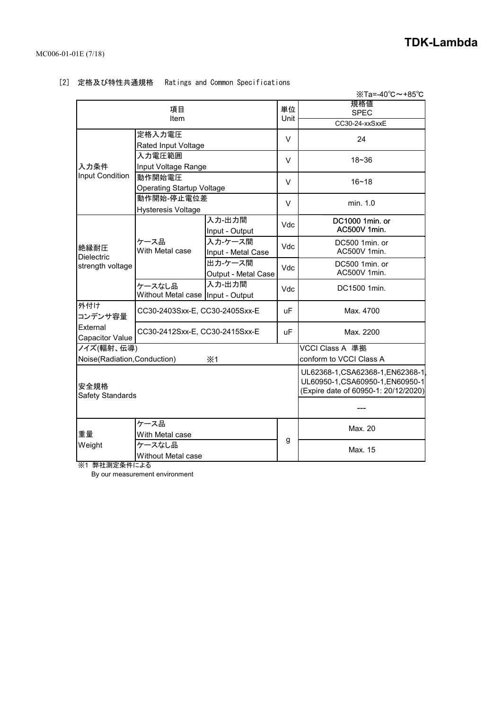|                                               |                                               |                                |                                                                                                              | $X$ Ta=-40 $^{\circ}$ C ~ +85 $^{\circ}$ C |
|-----------------------------------------------|-----------------------------------------------|--------------------------------|--------------------------------------------------------------------------------------------------------------|--------------------------------------------|
|                                               | 項目<br>Item                                    | 単位<br>Unit                     | 規格値<br><b>SPEC</b><br>CC30-24-xxSxxE                                                                         |                                            |
|                                               | 定格入力電圧<br>Rated Input Voltage                 |                                |                                                                                                              | 24                                         |
| 入力条件                                          | 入力電圧範囲<br>Input Voltage Range                 |                                | $\vee$                                                                                                       | $18 - 36$                                  |
| Input Condition                               | 動作開始電圧<br><b>Operating Startup Voltage</b>    |                                | V                                                                                                            | $16 - 18$                                  |
|                                               | 動作開始-停止電位差<br><b>Hysteresis Voltage</b>       |                                | V                                                                                                            | min. 1.0                                   |
|                                               |                                               | 入力-出力間<br>Input - Output       | Vdc                                                                                                          | DC1000 1min. or<br>AC500V 1min.            |
| 絶縁耐圧<br><b>Dielectric</b>                     | ケース品<br>With Metal case                       | 入力-ケース間<br>Input - Metal Case  | <b>Vdc</b>                                                                                                   | DC500 1min. or<br>AC500V 1min.             |
| strength voltage                              |                                               | 出力-ケース間<br>Output - Metal Case | <b>Vdc</b>                                                                                                   | DC500 1min. or<br>AC500V 1min.             |
|                                               | ケースなし品<br>Without Metal case   Input - Output | 入力-出力間                         | Vdc                                                                                                          | DC1500 1min.                               |
| 外付け<br>コンデンサ容量                                | CC30-2403Sxx-E, CC30-2405Sxx-E                |                                | <b>uF</b>                                                                                                    | Max. 4700                                  |
| External<br>Capacitor Value                   | CC30-2412Sxx-E, CC30-2415Sxx-E                |                                | <b>uF</b>                                                                                                    | Max. 2200                                  |
| ノイズ(輻射、伝導)<br>Noise(Radiation, Conduction)    |                                               |                                | VCCI Class A 準拠<br>conform to VCCI Class A                                                                   |                                            |
| 安全規格<br>Safety Standards                      |                                               |                                | UL62368-1, CSA62368-1, EN62368-1<br>UL60950-1, CSA60950-1, EN60950-1<br>(Expire date of 60950-1: 20/12/2020) |                                            |
|                                               |                                               |                                |                                                                                                              |                                            |
| 重量                                            | ケース品<br>With Metal case                       |                                |                                                                                                              | Max. 20                                    |
| Weight<br>ケースなし品<br><b>Without Metal case</b> |                                               | g                              | Max. 15                                                                                                      |                                            |

# [2] 定格及び特性共通規格 Ratings and Common Specifications

※1 弊社測定条件による

By our measurement environment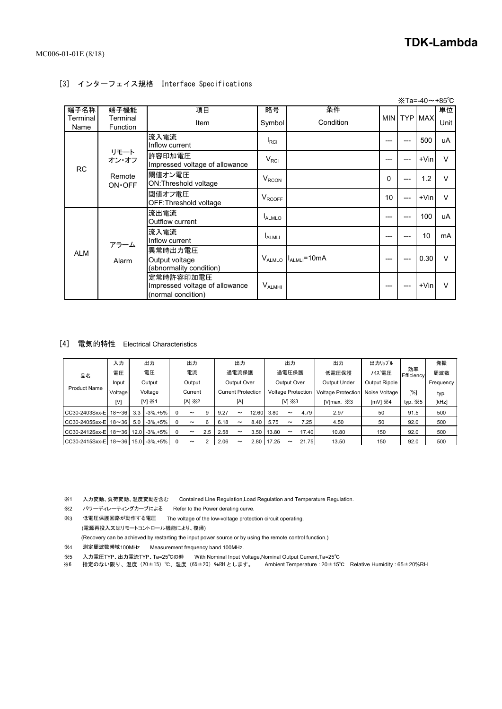# [3] インターフェイス規格 Interface Specifications

|                          |                              |                                                                   |                          |                               |          |     | $\text{\%}$ Ta=-40∼+85℃ |            |
|--------------------------|------------------------------|-------------------------------------------------------------------|--------------------------|-------------------------------|----------|-----|-------------------------|------------|
| 端子名称<br>Terminal<br>Name | 端子機能<br>Terminal<br>Function | 項目<br>Item                                                        | 略号<br>Symbol             | 条件<br>Condition               |          |     | MIN TYP MAX             | 単位<br>Unit |
|                          |                              | 流入電流<br>Inflow current                                            | $I_{\rm RCI}$            |                               | ---      |     | 500                     | uA         |
| <b>RC</b>                | リモート<br>オン・オフ                | 許容印加電圧<br>Impressed voltage of allowance                          | V <sub>RCI</sub>         |                               | ---      |     | $+V$ in                 | $\vee$     |
|                          | Remote<br>$ON O$ FF          | 閾値オン電圧<br>ON: Threshold voltage                                   | $V_{RCON}$               |                               | $\Omega$ |     | 1.2                     | $\vee$     |
|                          |                              | 閾値オフ電圧<br>OFF: Threshold voltage                                  | <b>V<sub>RCOFF</sub></b> |                               | 10       | --- | $+V$ in                 | $\vee$     |
|                          |                              | 流出電流<br>Outflow current                                           | <b>LALMLO</b>            |                               | ---      | --- | 100                     | uA         |
|                          | アラーム                         | 流入電流<br>Inflow current                                            | <b>ALMLI</b>             |                               | ---      |     | 10                      | mA         |
| <b>ALM</b>               | Alarm                        | 異常時出力電圧<br>Output voltage<br>(abnormality condition)              |                          | $V_{ALMLO}$ $I_{ALMLI}$ =10mA | ---      |     | 0.30                    | $\vee$     |
|                          |                              | 定常時許容印加電圧<br>Impressed voltage of allowance<br>(normal condition) | V <sub>ALMHI</sub>       |                               | ---      |     | $+V$ in                 | $\vee$     |

### [4] 電気的特性 Electrical Characteristics

|                                         | 入力                                           |        | 出力           |          | 出力                    |             |            | 出力                    |                           |       | 出力                            |                           | 出力                        | 出力リップル        |                  | 発振   |
|-----------------------------------------|----------------------------------------------|--------|--------------|----------|-----------------------|-------------|------------|-----------------------|---------------------------|-------|-------------------------------|---------------------------|---------------------------|---------------|------------------|------|
| 品名                                      | 電圧                                           |        | 電圧           |          | 電流                    |             |            | 過電流保護                 |                           |       | 過電圧保護                         |                           | 低電圧保護                     | バズ電圧          | 効率<br>Efficiency | 周波数  |
|                                         | Input                                        | Output |              | Output   |                       | Output Over |            | Output Over           |                           |       | Output Ripple<br>Output Under |                           | Frequency                 |               |                  |      |
| <b>Product Name</b>                     | Voltage                                      |        | Voltage      |          | Current               |             |            |                       | <b>Current Protection</b> |       |                               | <b>Voltage Protection</b> | <b>Voltage Protection</b> | Noise Voltage | [%]              | typ. |
|                                         | $IV1 \times 1$<br>$[A] \times 2$<br>[A]<br>M |        |              |          | $M \times 3$          |             | [V]max. *3 | $[mV] \times 4$       | typ. $\divideontimes 5$   | [kHz] |                               |                           |                           |               |                  |      |
| CC30-2403Sxx-E                          | $18 \sim 36$                                 | 3.3    | $-3\% + 5\%$ |          | $\tilde{\phantom{a}}$ | 9           | 9.27       | $\tilde{\phantom{a}}$ | 12.60                     | 3.80  | $\tilde{\phantom{a}}$         | 4.79                      | 2.97                      | 50            | 91.5             | 500  |
| CC30-2405Sxx-E                          | $18 \sim 36$                                 | 5.0    | $-3\% + 5\%$ | $\Omega$ | $\tilde{\phantom{a}}$ | 6           | 6.18       | $\tilde{\phantom{a}}$ | 8.40                      | 5.75  | $\tilde{\phantom{a}}$         | 7.25                      | 4.50                      | 50            | 92.0             | 500  |
| CC30-2412Sxx-E 18~36 12.0 -3%.+5%       |                                              |        |              | $\Omega$ | $\tilde{\phantom{a}}$ | 2.5         | 2.58       | $\tilde{\phantom{a}}$ | 3.50                      | 13.80 | $\tilde{\phantom{a}}$         | 17.40                     | 10.80                     | 150           | 92.0             | 500  |
| CC30-2415Sxx-E   18∼36   15.0   -3%.+5% |                                              |        |              |          | $\tilde{\phantom{a}}$ |             | 2.06       | $\tilde{\phantom{a}}$ | 2.80                      | 17.25 | $\tilde{\phantom{a}}$         | 21.75                     | 13.50                     | 150           | 92.0             | 500  |

※1 入力変動、負荷変動、温度変動を含む Contained Line Regulation,Load Regulation and Temperature Regulation.

※2 パワーディレーティングカーブによる Refer to the Power derating curve.

※3 低電圧保護回路が動作する電圧 The voltage of the low-voltage protection circuit operating.

(電源再投入又はリモートコントロール機能により、復帰)

(Recovery can be achieved by restarting the input power source or by using the remote control function.)

※4 測定周波数帯域100MHz Measurement frequency band 100MHz.

※5 入力電圧TYP、出力電流TYP、Ta=25℃の時 With Nominal Input Voltage,Nominal Output Current,Ta=25℃

※6 指定のない限り、温度(20±15)℃、湿度(65±20)%RH とします。 Ambient Temperature : 20±15℃ Relative Humidity : 65±20%RH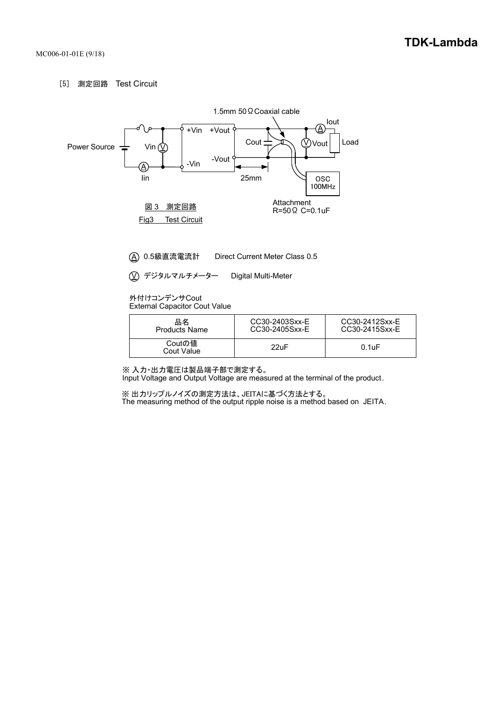#### [5] 測定回路 Test Circuit



※ 入力・出力電圧は製品端子部で測定する。

Input Voltage and Output Voltage are measured at the terminal of the product.

※ 出力リップルノイズの測定方法は、JEITAに基づく方法とする。 The measuring method of the output ripple noise is a method based on JEITA.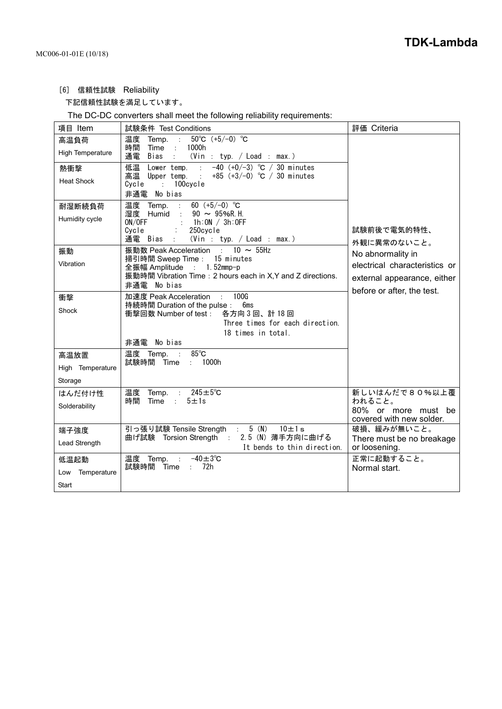[6] 信頼性試験 Reliability

下記信頼性試験を満足しています。

The DC-DC converters shall meet the following reliability requirements:

| 項目 Item                             | 試験条件 Test Conditions                                                                                                                                                                                         | 評価 Criteria                                                                                                     |
|-------------------------------------|--------------------------------------------------------------------------------------------------------------------------------------------------------------------------------------------------------------|-----------------------------------------------------------------------------------------------------------------|
| 高温負荷<br><b>High Temperature</b>     | 50°C $(+5/-0)$ °C<br>温度<br>Temp.<br>$\sim 10$<br>時間<br>1000h<br>Time :<br>通電<br>Bias<br>(Vin : typ. / Load : max.)                                                                                           |                                                                                                                 |
| 熱衝撃<br><b>Heat Shock</b>            | $-40$ (+0/-3) °C / 30 minutes<br>低温<br>Lower temp.<br>高温 Upper temp.<br>+85 $(+3/-0)$ °C / 30 minutes<br>$\mathcal{L}^{\pm}$<br>100cycle<br>Cvcle<br>$\sim 100$<br>No bias<br>非通電                            |                                                                                                                 |
| 耐湿断続負荷<br>Humidity cycle            | 温度 Temp.<br>60 $(+5/-0)$ °C<br>$90 \sim 95\%$ R.H.<br>湿度 Humid :<br>ON/OFF<br>1h:ON / 3h:OFF<br>Cycle<br>250cycle<br>$\mathcal{L}_{\mathcal{A}}$<br>通電 Bias<br>(Vin : typ. / Load : max.)<br>$\sim 10^{-11}$ | 試験前後で電気的特性、<br>外観に異常のないこと。                                                                                      |
| 振動<br>Vibration                     | 振動数 Peak Acceleration : 10 ~ 55Hz<br>掃引時間 Sweep Time : 15 minutes<br>全振幅 Amplitude : 1.52mmp-p<br>振動時間 Vibration Time: 2 hours each in X, Y and Z directions.<br>非通電<br>No bias                              | No abnormality in<br>electrical characteristics or<br>external appearance, either<br>before or after, the test. |
| 衝撃<br>Shock                         | 加速度 Peak Acceleration : 100G<br>持続時間 Duration of the pulse : 6ms<br>衝撃回数 Number of test:<br>各方向3回、計18回<br>Three times for each direction.<br>18 times in total.<br>非通電 No bias                               |                                                                                                                 |
| 高温放置<br>High Temperature<br>Storage | $85^{\circ}$ C<br>温度 Temp.<br>$\sim$<br>: 1000h<br>試験時間 Time                                                                                                                                                 |                                                                                                                 |
| はんだ付け性<br>Solderability             | 温度 Temp. : 245±5℃<br>時間<br>Time :<br>$5 \pm 1s$                                                                                                                                                              | 新しいはんだで80%以上覆<br>われること。<br>80% or more must be<br>covered with new solder.                                      |
| 端子強度<br>Lead Strength               | 引っ張り試験 Tensile Strength : 5 (N)<br>$10 \pm 1 s$<br>曲げ試験 Torsion Strength : 2.5 (N) 薄手方向に曲げる<br>It bends to thin direction.                                                                                   | 破損、緩みが無いこと。<br>There must be no breakage<br>or loosening.                                                       |
| 低温起動<br>Temperature<br>Low<br>Start | 温度 Temp.<br>$-40 \pm 3$ °C<br>÷<br>72h<br>試験時間<br>Time<br>$\mathcal{L}$                                                                                                                                      | 正常に起動すること。<br>Normal start.                                                                                     |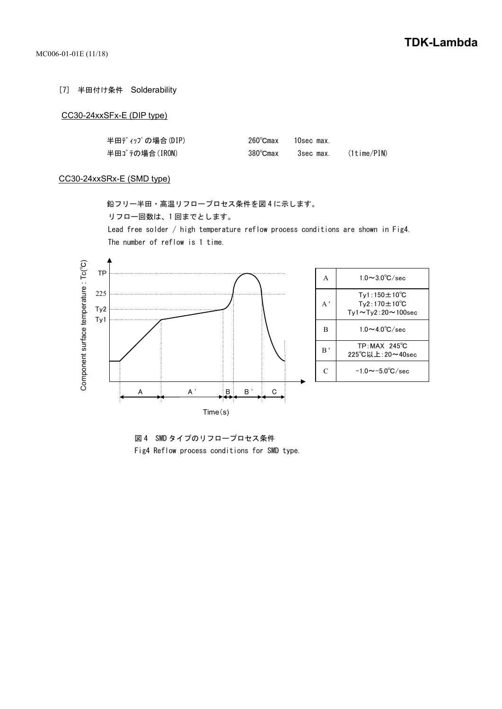[7] 半田付け条件 Solderability

#### CC30-24xxSFx-E (DIP type)

| 半田ディップの場合(DIP) |                    | 260°Cmax 10sec max. |                       |
|----------------|--------------------|---------------------|-----------------------|
| 半田ゴテの場合(IRON)  | $380^{\circ}$ Cmax |                     | 3sec max. (1time/PIN) |

#### CC30-24xxSRx-E (SMD type)

 鉛フリー半田・高温リフロープロセス条件を図 4 に示します。 リフロー回数は、1 回までとします。 Lead free solder / high temperature reflow process conditions are shown in Fig4.

The number of reflow is 1 time.



 図 4 SMD タイプのリフロープロセス条件 Fig4 Reflow process conditions for SMD type.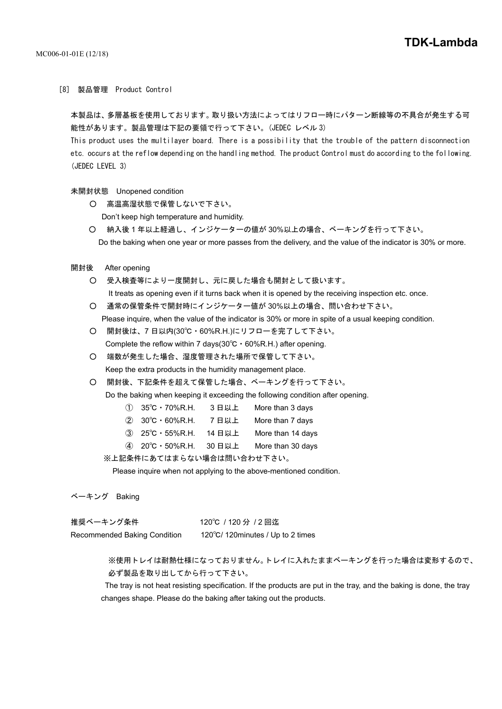#### [8] 製品管理 Product Control

本製品は、多層基板を使用しております。取り扱い方法によってはリフロー時にパターン断線等の不具合が発生する可 能性があります。製品管理は下記の要領で行って下さい。(JEDEC レベル 3)

This product uses the multilayer board. There is a possibility that the trouble of the pattern disconnection etc. occurs at the reflow depending on the handling method. The product Control must do according to the following. (JEDEC LEVEL 3)

未開封状態 Unopened condition

- 高温高湿状態で保管しないで下さい。 Don't keep high temperature and humidity.
- 納入後 1 年以上経過し、インジケーターの値が 30%以上の場合、ベーキングを行って下さい。 Do the baking when one year or more passes from the delivery, and the value of the indicator is 30% or more.
- 開封後 After opening
	- 受入検査等により一度開封し、元に戻した場合も開封として扱います。 It treats as opening even if it turns back when it is opened by the receiving inspection etc. once.
	- 通常の保管条件で開封時にインジケーター値が 30%以上の場合、問い合わせ下さい。 Please inquire, when the value of the indicator is 30% or more in spite of a usual keeping condition.
	- 開封後は、7 日以内(30℃・60%R.H.)にリフローを完了して下さい。 Complete the reflow within 7 days(30℃・60%R.H.) after opening.
	- 端数が発生した場合、湿度管理された場所で保管して下さい。 Keep the extra products in the humidity management place.
	- 開封後、下記条件を超えて保管した場合、ベーキングを行って下さい。

Do the baking when keeping it exceeding the following condition after opening.

- ① 35℃・70%R.H. 3 日以上 More than 3 days
- ② 30℃・60%R.H. 7 日以上 More than 7 days
- ③ 25℃・55%R.H. 14 日以上 More than 14 days
- ④ 20℃・50%R.H. 30 日以上 More than 30 days

※上記条件にあてはまらない場合は問い合わせ下さい。

Please inquire when not applying to the above-mentioned condition.

ベーキング Baking

| 推奨ベーキング条件                    | 120℃/120 分/2 回迄                   |
|------------------------------|-----------------------------------|
| Recommended Baking Condition | 120°C/ 120minutes / Up to 2 times |

※使用トレイは耐熱仕様になっておりません。トレイに入れたままベーキングを行った場合は変形するので、 必ず製品を取り出してから行って下さい。

 The tray is not heat resisting specification. If the products are put in the tray, and the baking is done, the tray changes shape. Please do the baking after taking out the products.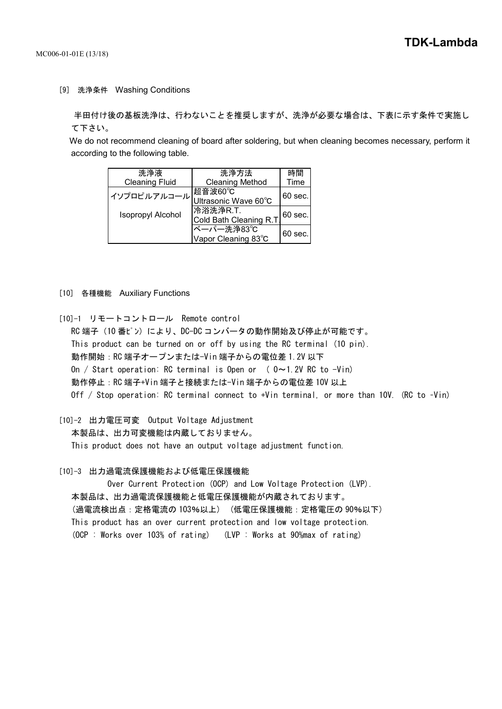[9] 洗浄条件 Washing Conditions

 半田付け後の基板洗浄は、行わないことを推奨しますが、洗浄が必要な場合は、下表に示す条件で実施し て下さい。

 We do not recommend cleaning of board after soldering, but when cleaning becomes necessary, perform it according to the following table.

| 洗浄液                      | 洗浄方法                    | 時間                |  |
|--------------------------|-------------------------|-------------------|--|
| <b>Cleaning Fluid</b>    | <b>Cleaning Method</b>  | Time              |  |
| イソプロピルアルコール              | 超音波60℃                  | $60 \text{ sec.}$ |  |
|                          | Ultrasonic Wave 60°C    |                   |  |
| <b>Isopropyl Alcohol</b> | 冷浴洗浄R.T.                | $60$ sec.         |  |
|                          | Cold Bath Cleaning R.T. |                   |  |
|                          | ベーパー洗浄83℃               | $60 \text{ sec.}$ |  |
|                          | Vapor Cleaning 83°C     |                   |  |

- [10] 各種機能 Auxiliary Functions
- [10]-1 リモートコントロール Remote control
- RC 端子 (10番ピン)により、DC-DC コンバータの動作開始及び停止が可能です。 This product can be turned on or off by using the RC terminal (10 pin). 動作開始:RC 端子オープンまたは-Vin 端子からの電位差 1.2V 以下 On / Start operation: RC terminal is Open or  $(0 \sim 1.2V$  RC to  $-V$ in) 動作停止:RC 端子+Vin 端子と接続または-Vin 端子からの電位差 10V 以上 Off / Stop operation: RC terminal connect to +Vin terminal, or more than 10V. (RC to –Vin)
- [10]-2 出力電圧可変 Output Voltage Adjustment

本製品は、出力可変機能は内蔵しておりません。

This product does not have an output voltage adjustment function.

[10]-3 出力過電流保護機能および低電圧保護機能

Over Current Protection (OCP) and Low Voltage Protection (LVP). 本製品は、出力過電流保護機能と低電圧保護機能が内蔵されております。 (過電流検出点:定格電流の 103%以上) (低電圧保護機能:定格電圧の 90%以下) This product has an over current protection and low voltage protection. (OCP : Works over 103% of rating) (LVP : Works at 90%max of rating)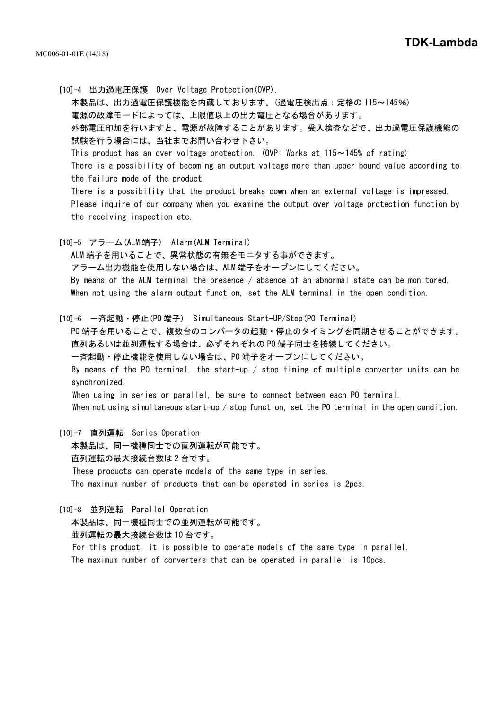[10]-4 出力過電圧保護 Over Voltage Protection(OVP). 本製品は、出力過電圧保護機能を内蔵しております。(過電圧検出点:定格の 115~145%) 電源の故障モードによっては、上限値以上の出力電圧となる場合があります。 外部電圧印加を行いますと、電源が故障することがあります。受入検査などで、出力過電圧保護機能の 試験を行う場合には、当社までお問い合わせ下さい。 This product has an over voltage protection. (OVP: Works at  $115 \sim 145\%$  of rating) There is a possibility of becoming an output voltage more than upper bound value according to the failure mode of the product. There is a possibility that the product breaks down when an external voltage is impressed. Please inquire of our company when you examine the output over voltage protection function by the receiving inspection etc. [10]-5 アラーム(ALM 端子) Alarm(ALM Terminal)

ALM 端子を用いることで、異常状態の有無をモニタする事ができます。 アラーム出力機能を使用しない場合は、ALM 端子をオープンにしてください。 By means of the ALM terminal the presence / absence of an abnormal state can be monitored.

When not using the alarm output function, set the ALM terminal in the open condition. [10]-6 一斉起動・停止(PO 端子) Simultaneous Start-UP/Stop(PO Terminal)

PO 端子を用いることで、複数台のコンバータの起動・停止のタイミングを同期させることができます。 直列あるいは並列運転する場合は、必ずそれぞれの PO 端子同士を接続してください。 一斉起動・停止機能を使用しない場合は、PO 端子をオープンにしてください。 By means of the PO terminal, the start-up  $/$  stop timing of multiple converter units can be synchronized. When using in series or parallel, be sure to connect between each PO terminal. When not using simultaneous start-up / stop function, set the PO terminal in the open condition.

[10]-7 直列運転 Series Operation

本製品は、同一機種同士での直列運転が可能です。

直列運転の最大接続台数は 2 台です。

These products can operate models of the same type in series. The maximum number of products that can be operated in series is 2pcs.

[10]-8 並列運転 Parallel Operation

本製品は、同一機種同士での並列運転が可能です。

並列運転の最大接続台数は 10 台です。

For this product, it is possible to operate models of the same type in parallel. The maximum number of converters that can be operated in parallel is 10pcs.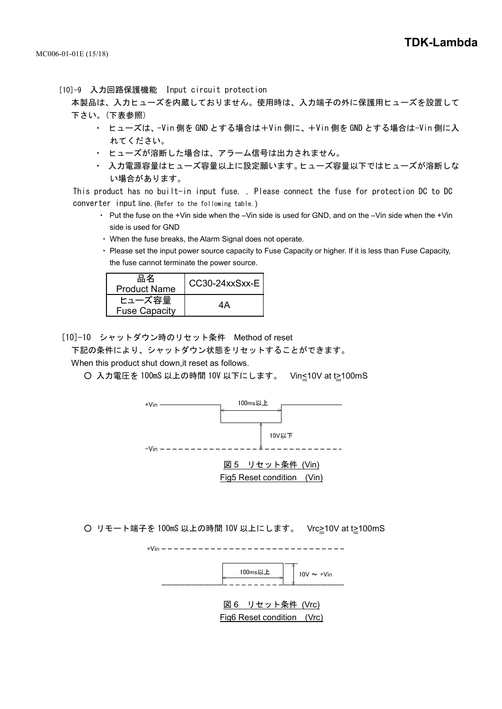[10]-9 入力回路保護機能 Input circuit protection

本製品は、入力ヒューズを内蔵しておりません。使用時は、入力端子の外に保護用ヒューズを設置して 下さい。(下表参照)

- ・ ヒューズは、-Vin 側を GND とする場合は+Vin 側に、+Vin 側を GND とする場合は-Vin 側に入 れてください。
- ・ ヒューズが溶断した場合は、アラーム信号は出力されません。
- ・ 入力電源容量はヒューズ容量以上に設定願います。ヒューズ容量以下ではヒューズが溶断しな い場合があります。

This product has no built-in input fuse. , Please connect the fuse for protection DC to DC converter input line. (Refer to the following table.)

- ・ Put the fuse on the +Vin side when the –Vin side is used for GND, and on the –Vin side when the +Vin side is used for GND
- ・ When the fuse breaks, the Alarm Signal does not operate.
- ・ Please set the input power source capacity to Fuse Capacity or higher. If it is less than Fuse Capacity, the fuse cannot terminate the power source.

| 品名<br><b>Product Name</b>      | CC30-24xxSxx-E |
|--------------------------------|----------------|
| ヒューズ容量<br><b>Fuse Capacity</b> |                |

[10]-10 シャットダウン時のリセット条件 Method of reset

下記の条件により、シャットダウン状態をリセットすることができます。

When this product shut down,it reset as follows.

○ 入力電圧を 100mS 以上の時間 10V 以下にします。 Vin<10V at t>100mS



○ リモート端子を 100mS 以上の時間 10V 以上にします。 Vrc>10V at t>100mS



Fig6 Reset condition (Vrc)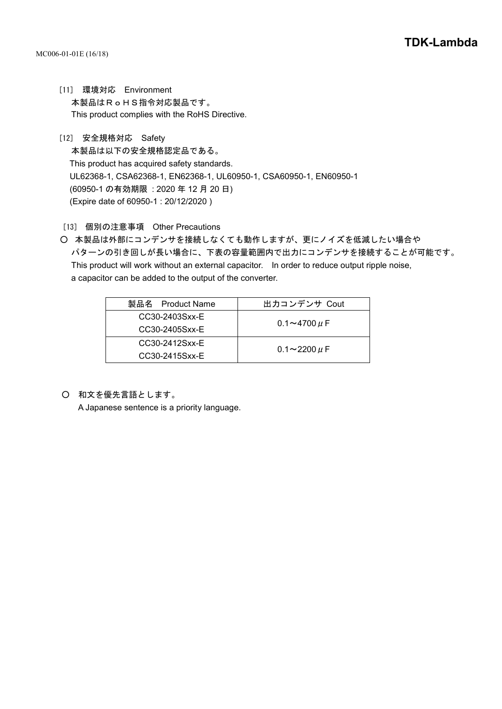- [11] 環境対応 Environment 本製品はRoHS指令対応製品です。 This product complies with the RoHS Directive.
- [12] 安全規格対応 Safety 本製品は以下の安全規格認定品である。 This product has acquired safety standards. UL62368-1, CSA62368-1, EN62368-1, UL60950-1, CSA60950-1, EN60950-1 (60950-1 の有効期限 : 2020 年 12 月 20 日) (Expire date of 60950-1 : 20/12/2020 )
- [13] 個別の注意事項 Other Precautions
- 本製品は外部にコンデンサを接続しなくても動作しますが、更にノイズを低減したい場合や パターンの引き回しが長い場合に、下表の容量範囲内で出力にコンデンサを接続することが可能です。 This product will work without an external capacitor. In order to reduce output ripple noise, a capacitor can be added to the output of the converter.

| 製品名 Product Name | 出力コンデンサ Cout         |
|------------------|----------------------|
| CC30-2403Sxx-E   |                      |
| CC30-2405Sxx-E   | $0.1 - 4700 \,\mu$ F |
| CC30-2412Sxx-E   |                      |
| CC30-2415Sxx-E   | $0.1 - 2200 \mu F$   |

○ 和文を優先言語とします。

A Japanese sentence is a priority language.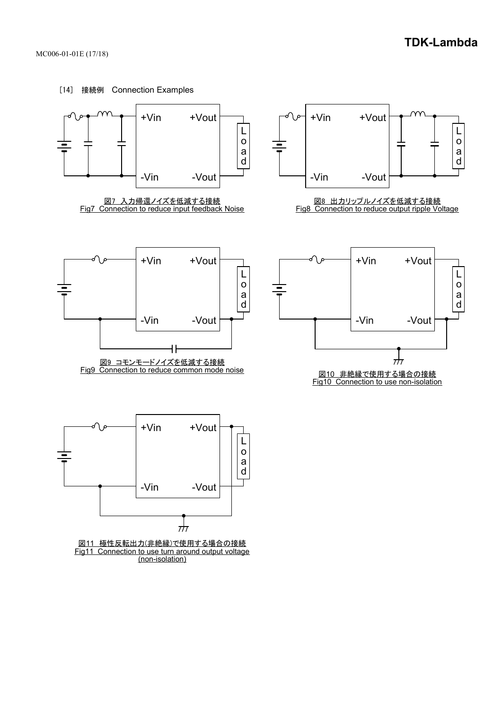